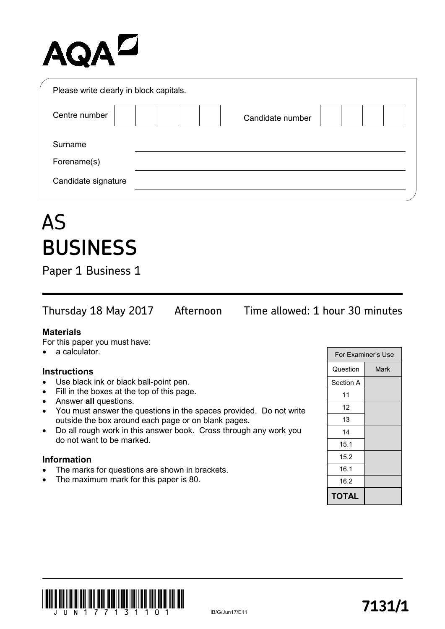## AQAD

| Please write clearly in block capitals. |                  |  |
|-----------------------------------------|------------------|--|
| Centre number                           | Candidate number |  |
| Surname                                 |                  |  |
| Forename(s)                             |                  |  |
| Candidate signature                     |                  |  |
|                                         |                  |  |

### AS **BUSINESS**

Paper 1 Business 1

Thursday 18 May 2017 Afternoon Time allowed: 1 hour 30 minutes

#### **Materials**

For this paper you must have:

a calculator.

#### **Instructions**

- Use black ink or black ball-point pen.
- Fill in the boxes at the top of this page.
- Answer **all** questions.
- You must answer the questions in the spaces provided. Do not write outside the box around each page or on blank pages.
- Do all rough work in this answer book. Cross through any work you do not want to be marked.

#### **Information**

- The marks for questions are shown in brackets.
- The maximum mark for this paper is 80.

| For Examiner's Use |      |  |
|--------------------|------|--|
| Question           | Mark |  |
| Section A          |      |  |
| 11                 |      |  |
| 12                 |      |  |
| 13                 |      |  |
| 14                 |      |  |
| 15.1               |      |  |
| 15.2               |      |  |
| 16.1               |      |  |
| 16.2               |      |  |
| TOTAL              |      |  |

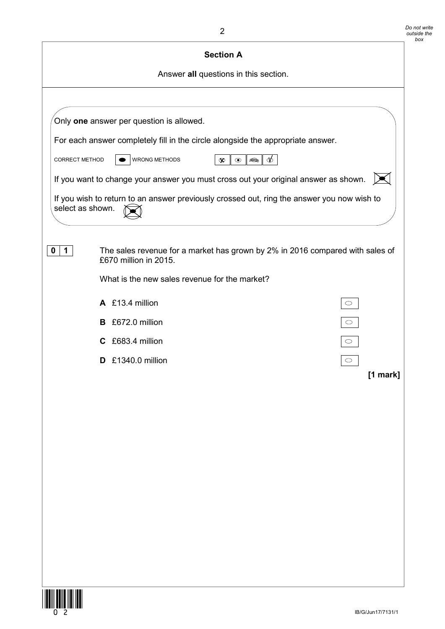| <b>Section A</b>                                                                                                           |  |  |  |  |
|----------------------------------------------------------------------------------------------------------------------------|--|--|--|--|
| Answer all questions in this section.                                                                                      |  |  |  |  |
|                                                                                                                            |  |  |  |  |
| Only one answer per question is allowed.                                                                                   |  |  |  |  |
| For each answer completely fill in the circle alongside the appropriate answer.                                            |  |  |  |  |
| $\phi$<br><b>WRONG METHODS</b><br>$\quad \  \  \, \Leftrightarrow$<br><b>CORRECT METHOD</b><br>$\infty$<br>$\odot$         |  |  |  |  |
| If you want to change your answer you must cross out your original answer as shown.                                        |  |  |  |  |
| If you wish to return to an answer previously crossed out, ring the answer you now wish to<br>select as shown.             |  |  |  |  |
| The sales revenue for a market has grown by 2% in 2016 compared with sales of<br>$\mathbf 1$<br>0<br>£670 million in 2015. |  |  |  |  |
| What is the new sales revenue for the market?                                                                              |  |  |  |  |
| A £13.4 million<br>$\circ$                                                                                                 |  |  |  |  |
| B £672.0 million<br>$\circ$                                                                                                |  |  |  |  |
| C £683.4 million<br>$\circ$                                                                                                |  |  |  |  |
| £1340.0 million<br>D.                                                                                                      |  |  |  |  |
| [1 mark]                                                                                                                   |  |  |  |  |
|                                                                                                                            |  |  |  |  |
|                                                                                                                            |  |  |  |  |
|                                                                                                                            |  |  |  |  |
|                                                                                                                            |  |  |  |  |
|                                                                                                                            |  |  |  |  |
|                                                                                                                            |  |  |  |  |
|                                                                                                                            |  |  |  |  |
|                                                                                                                            |  |  |  |  |
|                                                                                                                            |  |  |  |  |
|                                                                                                                            |  |  |  |  |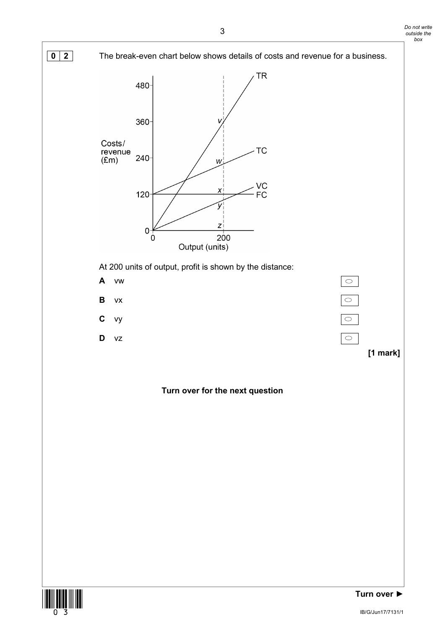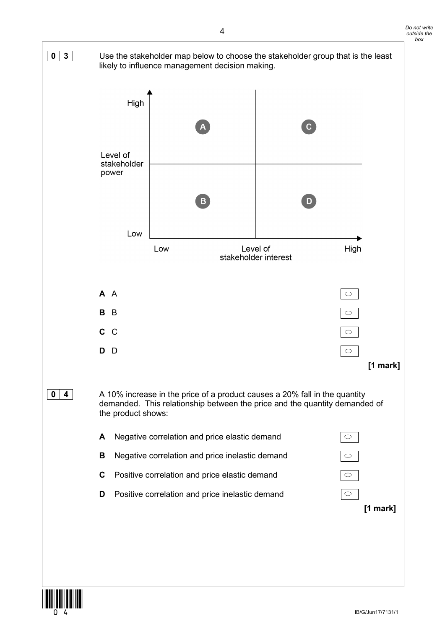

![](_page_3_Picture_1.jpeg)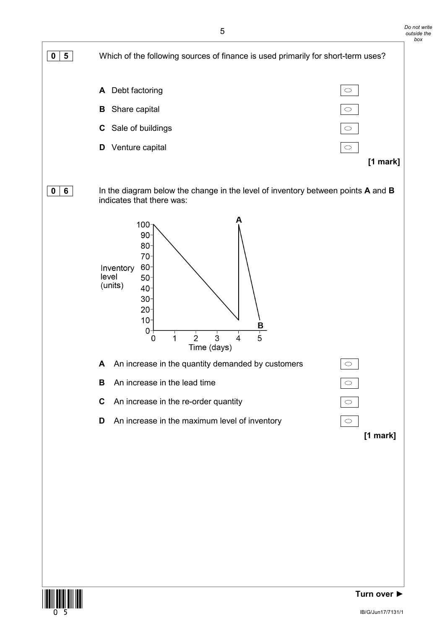![](_page_4_Figure_0.jpeg)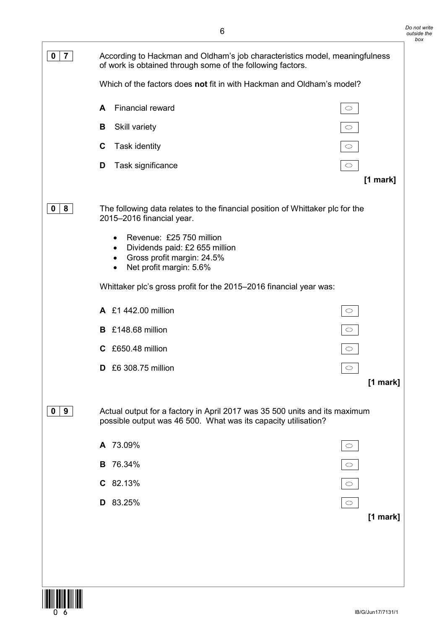| $\overline{7}$<br>0 | According to Hackman and Oldham's job characteristics model, meaningfulness<br>of work is obtained through some of the following factors.                               |                     |  |
|---------------------|-------------------------------------------------------------------------------------------------------------------------------------------------------------------------|---------------------|--|
|                     | Which of the factors does not fit in with Hackman and Oldham's model?                                                                                                   |                     |  |
|                     | <b>Financial reward</b><br>A                                                                                                                                            | $\circ$             |  |
|                     | В<br>Skill variety                                                                                                                                                      | $\circ$             |  |
|                     | $\mathbf c$<br>Task identity                                                                                                                                            | $\bigcirc$          |  |
|                     | D<br>Task significance                                                                                                                                                  | $\bigcirc$          |  |
|                     |                                                                                                                                                                         | $[1$ mark]          |  |
| 8<br>0              | The following data relates to the financial position of Whittaker plc for the<br>2015-2016 financial year.                                                              |                     |  |
|                     | Revenue: £25 750 million<br>$\bullet$<br>Dividends paid: £2 655 million<br>$\bullet$<br>Gross profit margin: 24.5%<br>$\bullet$<br>Net profit margin: 5.6%<br>$\bullet$ |                     |  |
|                     | Whittaker plc's gross profit for the 2015-2016 financial year was:                                                                                                      |                     |  |
|                     | A £1 442.00 million                                                                                                                                                     |                     |  |
|                     | B £148.68 million                                                                                                                                                       | $\circ$             |  |
|                     | £650.48 million<br>C                                                                                                                                                    |                     |  |
|                     | £6 308.75 million<br>D                                                                                                                                                  | $\circ$             |  |
|                     |                                                                                                                                                                         | [1 mark]            |  |
| 9<br>0              | Actual output for a factory in April 2017 was 35 500 units and its maximum<br>possible output was 46 500. What was its capacity utilisation?                            |                     |  |
|                     | A 73.09%                                                                                                                                                                | $\circlearrowright$ |  |
|                     | 76.34%<br>в                                                                                                                                                             | $\bigcirc$          |  |
|                     | $C$ 82.13%                                                                                                                                                              | $\circ$             |  |
|                     | 83.25%<br>D                                                                                                                                                             | $\circlearrowright$ |  |
|                     |                                                                                                                                                                         | $[1$ mark]          |  |
|                     |                                                                                                                                                                         |                     |  |
|                     |                                                                                                                                                                         |                     |  |
|                     |                                                                                                                                                                         |                     |  |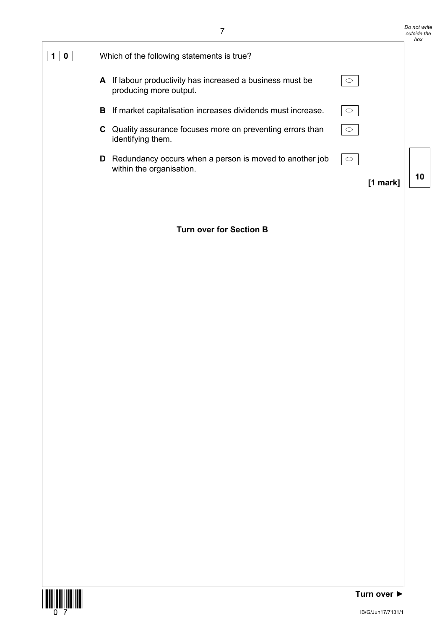|                                                                                          |         | Do not write<br>outside the<br>box |
|------------------------------------------------------------------------------------------|---------|------------------------------------|
| Which of the following statements is true?                                               |         |                                    |
| If labour productivity has increased a business must be<br>A<br>producing more output.   |         |                                    |
| If market capitalisation increases dividends must increase.<br>в.                        |         |                                    |
| Quality assurance focuses more on preventing errors than<br>C.<br>identifying them.      |         |                                    |
| Redundancy occurs when a person is moved to another job<br>D<br>within the organisation. | $\circ$ | 10                                 |
|                                                                                          | [1 mark |                                    |

#### **Turn over for Section B**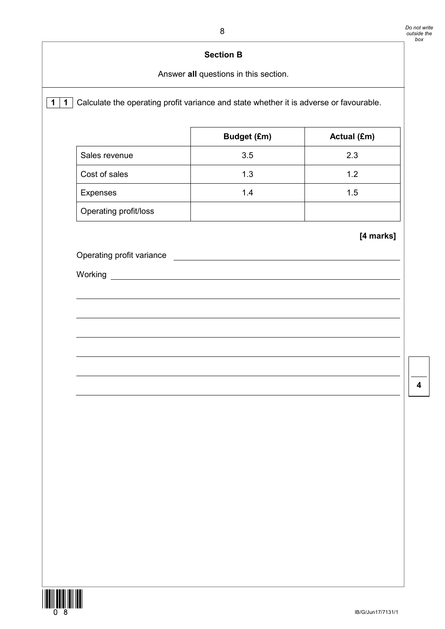# **1** 1 Calculate the operating profit variance and state whether it is adverse or favourable. **Budget (£m) Actual (£m)** Sales revenue  $\vert$  3.5  $\vert$  2.3 Cost of sales and the 1.3 and 1.2 1.2 Expenses 1.4 1.5 Operating profit/loss **[4 marks]** Operating profit variance Working \_ **Section B** Answer **all** questions in this section.

![](_page_7_Picture_2.jpeg)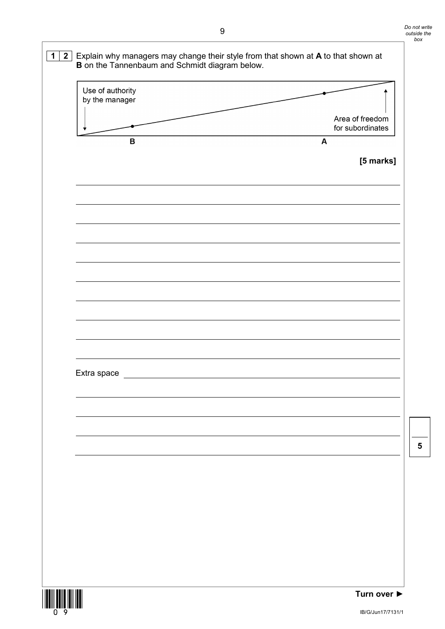| Use of authority<br>by the manager |                                     |
|------------------------------------|-------------------------------------|
|                                    |                                     |
|                                    | Area of freedom<br>for subordinates |
| $\, {\bf B}$                       | $\mathbf{A}$                        |
|                                    | [5 marks]                           |
|                                    |                                     |
|                                    |                                     |
|                                    |                                     |
|                                    |                                     |
|                                    |                                     |
|                                    |                                     |
|                                    |                                     |
|                                    |                                     |
|                                    |                                     |
|                                    |                                     |
|                                    |                                     |
|                                    |                                     |
| Extra space                        |                                     |
|                                    |                                     |
|                                    |                                     |
|                                    |                                     |
|                                    |                                     |
|                                    |                                     |
|                                    |                                     |
|                                    |                                     |
|                                    |                                     |
|                                    |                                     |
|                                    |                                     |
|                                    |                                     |
|                                    |                                     |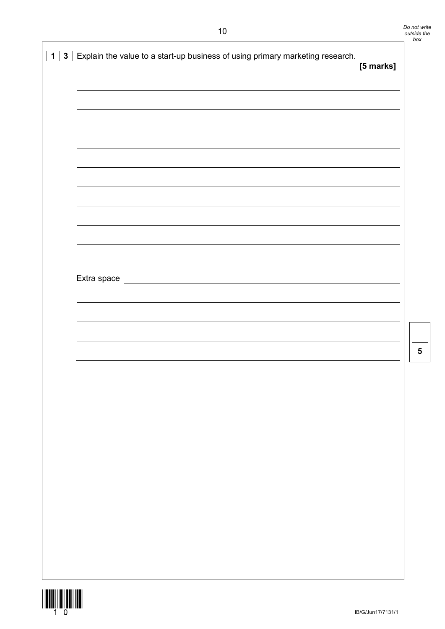| 3 <sup>1</sup><br>$\mathbf 1$ | Explain the value to a start-up business of using primary marketing research.     | [5 marks] |
|-------------------------------|-----------------------------------------------------------------------------------|-----------|
|                               |                                                                                   |           |
|                               |                                                                                   |           |
|                               |                                                                                   |           |
|                               |                                                                                   |           |
|                               |                                                                                   |           |
|                               | Extra space<br><u> 1989 - Johann Barbara, martxa amerikan personal (h. 1989).</u> |           |
|                               |                                                                                   |           |
|                               |                                                                                   |           |
|                               |                                                                                   |           |
|                               |                                                                                   |           |
|                               |                                                                                   |           |
|                               |                                                                                   |           |
|                               |                                                                                   |           |
|                               |                                                                                   |           |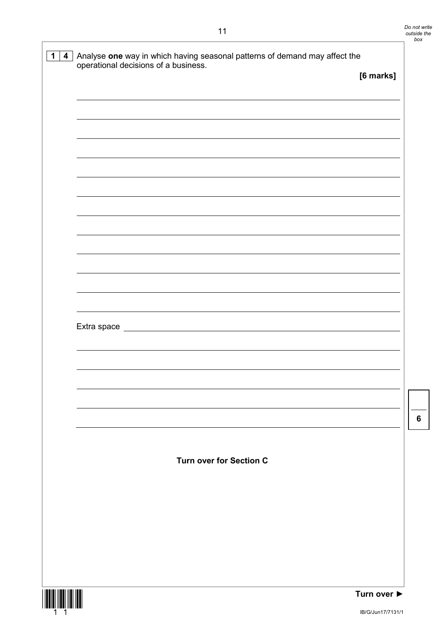| 4 <br>$\mathbf 1$ | Analyse one way in which having seasonal patterns of demand may affect the<br>operational decisions of a business.                  |           |
|-------------------|-------------------------------------------------------------------------------------------------------------------------------------|-----------|
|                   |                                                                                                                                     | [6 marks] |
|                   |                                                                                                                                     |           |
|                   |                                                                                                                                     |           |
|                   |                                                                                                                                     |           |
|                   |                                                                                                                                     |           |
|                   |                                                                                                                                     |           |
|                   |                                                                                                                                     |           |
|                   |                                                                                                                                     |           |
|                   |                                                                                                                                     |           |
|                   |                                                                                                                                     |           |
|                   |                                                                                                                                     |           |
|                   |                                                                                                                                     |           |
|                   |                                                                                                                                     |           |
|                   | Extra space<br><u> 1980 - Johann Barn, mars ar breithinn ar chuid ann an t-Alban ann an t-Alban ann an t-Alban ann an t-Alban a</u> |           |
|                   |                                                                                                                                     |           |
|                   |                                                                                                                                     |           |
|                   |                                                                                                                                     |           |
|                   |                                                                                                                                     |           |
|                   |                                                                                                                                     |           |
|                   |                                                                                                                                     |           |
|                   |                                                                                                                                     |           |
|                   | <b>Turn over for Section C</b>                                                                                                      |           |
|                   |                                                                                                                                     |           |
|                   |                                                                                                                                     |           |
|                   |                                                                                                                                     |           |
|                   |                                                                                                                                     |           |
|                   |                                                                                                                                     |           |
|                   |                                                                                                                                     |           |

![](_page_10_Picture_2.jpeg)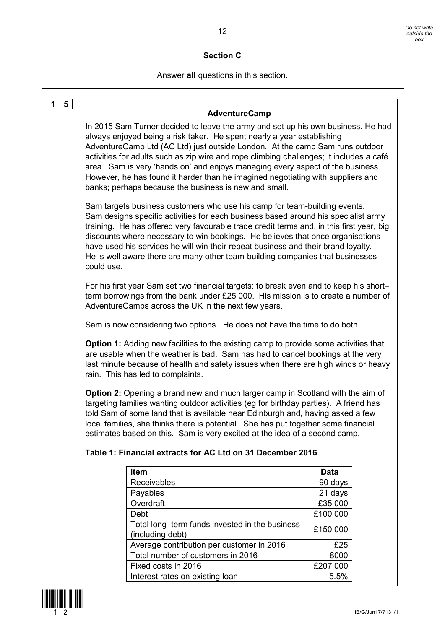#### **Section C**

Answer **all** questions in this section.

| 5<br>1 | <b>AdventureCamp</b>                                                                                                                                                                                                                                                                                                                                                                                                                                                                                                                                                |                 |  |  |  |
|--------|---------------------------------------------------------------------------------------------------------------------------------------------------------------------------------------------------------------------------------------------------------------------------------------------------------------------------------------------------------------------------------------------------------------------------------------------------------------------------------------------------------------------------------------------------------------------|-----------------|--|--|--|
|        | In 2015 Sam Turner decided to leave the army and set up his own business. He had<br>always enjoyed being a risk taker. He spent nearly a year establishing<br>AdventureCamp Ltd (AC Ltd) just outside London. At the camp Sam runs outdoor<br>activities for adults such as zip wire and rope climbing challenges; it includes a café<br>area. Sam is very 'hands on' and enjoys managing every aspect of the business.<br>However, he has found it harder than he imagined negotiating with suppliers and<br>banks; perhaps because the business is new and small. |                 |  |  |  |
|        | Sam targets business customers who use his camp for team-building events.<br>Sam designs specific activities for each business based around his specialist army<br>training. He has offered very favourable trade credit terms and, in this first year, big<br>discounts where necessary to win bookings. He believes that once organisations<br>have used his services he will win their repeat business and their brand loyalty.<br>He is well aware there are many other team-building companies that businesses<br>could use.                                   |                 |  |  |  |
|        | For his first year Sam set two financial targets: to break even and to keep his short-<br>term borrowings from the bank under £25 000. His mission is to create a number of<br>AdventureCamps across the UK in the next few years.                                                                                                                                                                                                                                                                                                                                  |                 |  |  |  |
|        | Sam is now considering two options. He does not have the time to do both.                                                                                                                                                                                                                                                                                                                                                                                                                                                                                           |                 |  |  |  |
|        | <b>Option 1:</b> Adding new facilities to the existing camp to provide some activities that<br>are usable when the weather is bad. Sam has had to cancel bookings at the very<br>last minute because of health and safety issues when there are high winds or heavy<br>rain. This has led to complaints.                                                                                                                                                                                                                                                            |                 |  |  |  |
|        | <b>Option 2:</b> Opening a brand new and much larger camp in Scotland with the aim of<br>targeting families wanting outdoor activities (eg for birthday parties). A friend has<br>told Sam of some land that is available near Edinburgh and, having asked a few<br>local families, she thinks there is potential. She has put together some financial<br>estimates based on this. Sam is very excited at the idea of a second camp.<br>Table 1: Financial extracts for AC Ltd on 31 December 2016                                                                  |                 |  |  |  |
|        |                                                                                                                                                                                                                                                                                                                                                                                                                                                                                                                                                                     |                 |  |  |  |
|        | Item<br>Receivables                                                                                                                                                                                                                                                                                                                                                                                                                                                                                                                                                 | Data<br>90 days |  |  |  |
|        | Payables                                                                                                                                                                                                                                                                                                                                                                                                                                                                                                                                                            | 21 days         |  |  |  |
|        | Overdraft                                                                                                                                                                                                                                                                                                                                                                                                                                                                                                                                                           | £35 000         |  |  |  |
|        | Debt                                                                                                                                                                                                                                                                                                                                                                                                                                                                                                                                                                | £100 000        |  |  |  |
|        | Total long-term funds invested in the business<br>(including debt)                                                                                                                                                                                                                                                                                                                                                                                                                                                                                                  | £150 000        |  |  |  |
|        | Average contribution per customer in 2016                                                                                                                                                                                                                                                                                                                                                                                                                                                                                                                           | £25             |  |  |  |
|        | Total number of customers in 2016                                                                                                                                                                                                                                                                                                                                                                                                                                                                                                                                   | 8000            |  |  |  |
|        | Fixed costs in 2016                                                                                                                                                                                                                                                                                                                                                                                                                                                                                                                                                 | £207 000        |  |  |  |
|        | 5.5%<br>Interest rates on existing loan                                                                                                                                                                                                                                                                                                                                                                                                                                                                                                                             |                 |  |  |  |

![](_page_11_Picture_4.jpeg)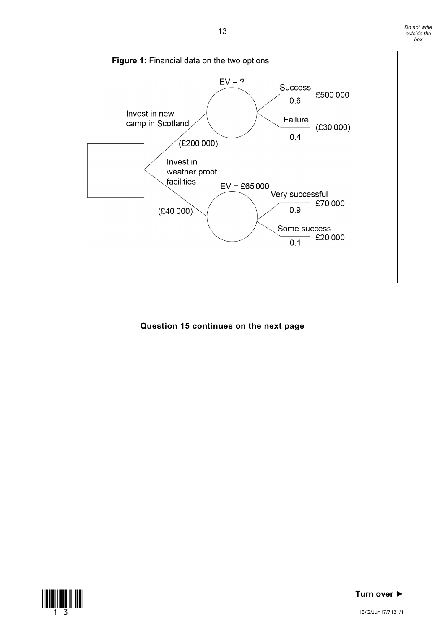*Do not write outside the box*

![](_page_12_Figure_1.jpeg)

#### **Question 15 continues on the next page**

![](_page_12_Picture_3.jpeg)

**Turn over ►**

IB/G/Jun17/7131/1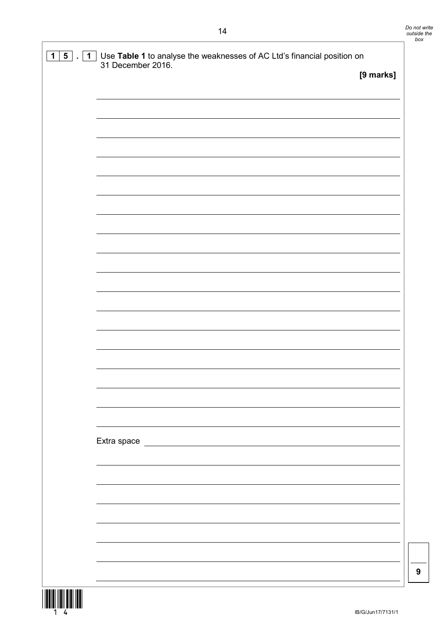| $5\overline{)}$<br>1<br>1 | Use Table 1 to analyse the weaknesses of AC Ltd's financial position on<br>31 December 2016. |           |
|---------------------------|----------------------------------------------------------------------------------------------|-----------|
|                           |                                                                                              | [9 marks] |
|                           |                                                                                              |           |
|                           |                                                                                              |           |
|                           |                                                                                              |           |
|                           |                                                                                              |           |
|                           |                                                                                              |           |
|                           |                                                                                              |           |
|                           |                                                                                              |           |
|                           |                                                                                              |           |
|                           |                                                                                              |           |
|                           |                                                                                              |           |
|                           |                                                                                              |           |
|                           |                                                                                              |           |
|                           |                                                                                              |           |
|                           |                                                                                              |           |
|                           |                                                                                              |           |
|                           |                                                                                              |           |
|                           |                                                                                              |           |
|                           |                                                                                              |           |
|                           |                                                                                              |           |
|                           |                                                                                              |           |
|                           |                                                                                              |           |
|                           |                                                                                              |           |

![](_page_13_Picture_2.jpeg)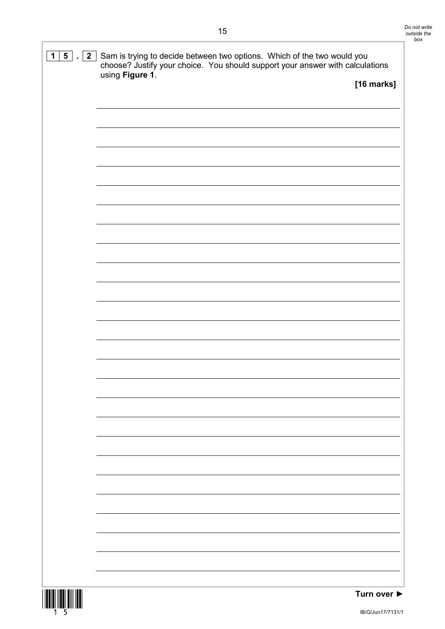![](_page_14_Picture_1.jpeg)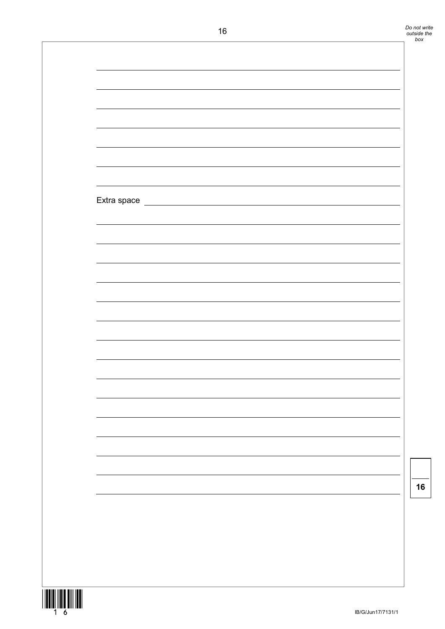| Extra space |  |  |
|-------------|--|--|
|             |  |  |
|             |  |  |
|             |  |  |
|             |  |  |
|             |  |  |
|             |  |  |
|             |  |  |
|             |  |  |
|             |  |  |
|             |  |  |
|             |  |  |
|             |  |  |
|             |  |  |
|             |  |  |
|             |  |  |
|             |  |  |
|             |  |  |
|             |  |  |
|             |  |  |
|             |  |  |
|             |  |  |
|             |  |  |
|             |  |  |
|             |  |  |
|             |  |  |
|             |  |  |
|             |  |  |
|             |  |  |
|             |  |  |
|             |  |  |
|             |  |  |
|             |  |  |
|             |  |  |
|             |  |  |
|             |  |  |
|             |  |  |
|             |  |  |
|             |  |  |
|             |  |  |
|             |  |  |
|             |  |  |
|             |  |  |
|             |  |  |
|             |  |  |
|             |  |  |
|             |  |  |
|             |  |  |
|             |  |  |
|             |  |  |
|             |  |  |
|             |  |  |
|             |  |  |
|             |  |  |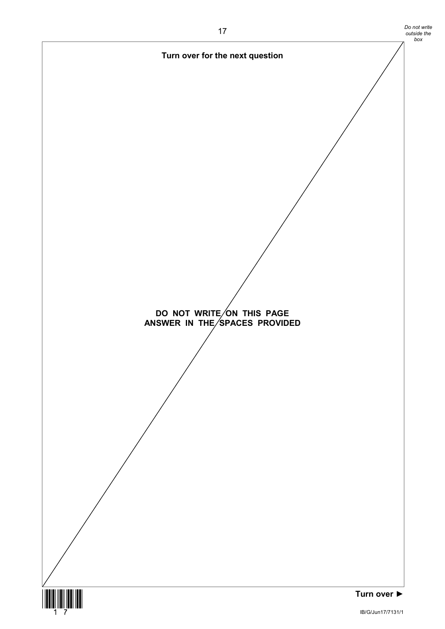![](_page_16_Figure_0.jpeg)

*Do not write*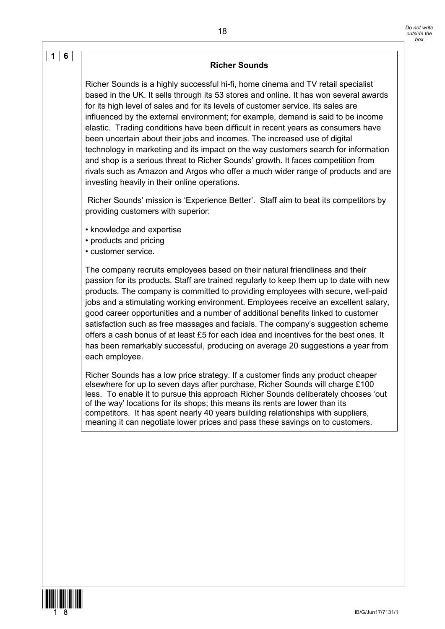#### **Richer Sounds**

Richer Sounds is a highly successful hi-fi, home cinema and TV retail specialist based in the UK. It sells through its 53 stores and online. It has won several awards for its high level of sales and for its levels of customer service. Its sales are influenced by the external environment; for example, demand is said to be income elastic. Trading conditions have been difficult in recent years as consumers have been uncertain about their jobs and incomes. The increased use of digital technology in marketing and its impact on the way customers search for information and shop is a serious threat to Richer Sounds' growth. It faces competition from rivals such as Amazon and Argos who offer a much wider range of products and are investing heavily in their online operations.

Richer Sounds' mission is 'Experience Better'. Staff aim to beat its competitors by providing customers with superior:

- knowledge and expertise
- products and pricing
- customer service.

**1 6**

The company recruits employees based on their natural friendliness and their passion for its products. Staff are trained regularly to keep them up to date with new products. The company is committed to providing employees with secure, well-paid jobs and a stimulating working environment. Employees receive an excellent salary, good career opportunities and a number of additional benefits linked to customer satisfaction such as free massages and facials. The company's suggestion scheme offers a cash bonus of at least £5 for each idea and incentives for the best ones. It has been remarkably successful, producing on average 20 suggestions a year from each employee.

Richer Sounds has a low price strategy. If a customer finds any product cheaper elsewhere for up to seven days after purchase, Richer Sounds will charge £100 less. To enable it to pursue this approach Richer Sounds deliberately chooses 'out of the way' locations for its shops; this means its rents are lower than its competitors. It has spent nearly 40 years building relationships with suppliers, meaning it can negotiate lower prices and pass these savings on to customers.

![](_page_17_Picture_9.jpeg)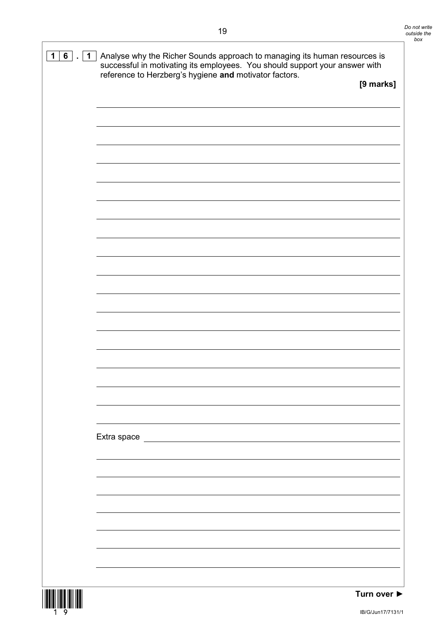| $6$ . $1$<br>$\mathbf 1$ | Analyse why the Richer Sounds approach to managing its human resources is<br>successful in motivating its employees. You should support your answer with |           |  |
|--------------------------|----------------------------------------------------------------------------------------------------------------------------------------------------------|-----------|--|
|                          | reference to Herzberg's hygiene and motivator factors.                                                                                                   | [9 marks] |  |
|                          |                                                                                                                                                          |           |  |
|                          |                                                                                                                                                          |           |  |
|                          |                                                                                                                                                          |           |  |
|                          |                                                                                                                                                          |           |  |
|                          |                                                                                                                                                          |           |  |
|                          |                                                                                                                                                          |           |  |
|                          |                                                                                                                                                          |           |  |
|                          |                                                                                                                                                          |           |  |
|                          |                                                                                                                                                          |           |  |
|                          |                                                                                                                                                          |           |  |
|                          |                                                                                                                                                          |           |  |
|                          |                                                                                                                                                          |           |  |
|                          |                                                                                                                                                          |           |  |
|                          |                                                                                                                                                          |           |  |
|                          |                                                                                                                                                          |           |  |
|                          | Extra space <u>example and the set of the set of the set of the set of the set of the set of the set of the set o</u>                                    |           |  |
|                          |                                                                                                                                                          |           |  |
|                          |                                                                                                                                                          |           |  |
|                          |                                                                                                                                                          |           |  |
|                          |                                                                                                                                                          |           |  |
|                          |                                                                                                                                                          |           |  |
|                          |                                                                                                                                                          |           |  |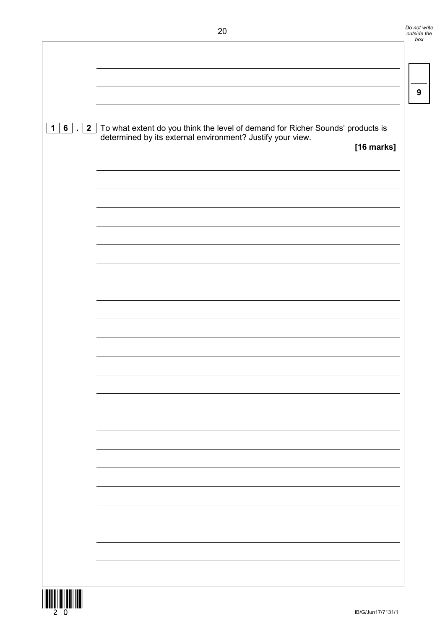| $1 6 $ . $2 $ | To what extent do you think the level of demand for Richer Sounds' products is determined by its external environment? Justify your view.<br>[16 marks] |
|---------------|---------------------------------------------------------------------------------------------------------------------------------------------------------|
|               |                                                                                                                                                         |
|               |                                                                                                                                                         |
|               |                                                                                                                                                         |
|               |                                                                                                                                                         |
|               |                                                                                                                                                         |
|               |                                                                                                                                                         |
|               |                                                                                                                                                         |
|               |                                                                                                                                                         |
|               |                                                                                                                                                         |
|               |                                                                                                                                                         |
|               |                                                                                                                                                         |
|               |                                                                                                                                                         |

*Do not write outside the box*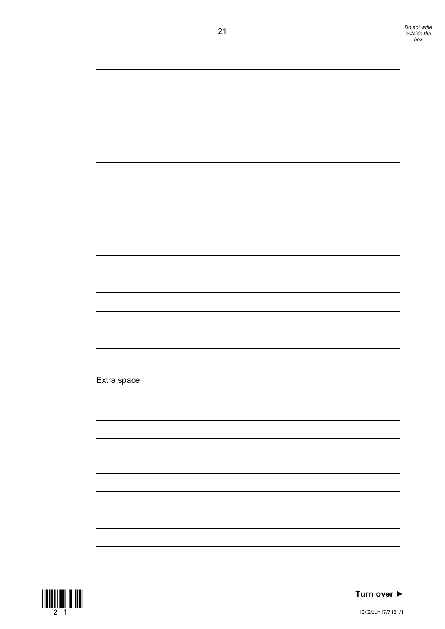| 21 |                                                                                                                                                                                                                                     |  |
|----|-------------------------------------------------------------------------------------------------------------------------------------------------------------------------------------------------------------------------------------|--|
|    |                                                                                                                                                                                                                                     |  |
|    |                                                                                                                                                                                                                                     |  |
|    |                                                                                                                                                                                                                                     |  |
|    |                                                                                                                                                                                                                                     |  |
|    |                                                                                                                                                                                                                                     |  |
|    |                                                                                                                                                                                                                                     |  |
|    |                                                                                                                                                                                                                                     |  |
|    |                                                                                                                                                                                                                                     |  |
|    |                                                                                                                                                                                                                                     |  |
|    |                                                                                                                                                                                                                                     |  |
|    |                                                                                                                                                                                                                                     |  |
|    |                                                                                                                                                                                                                                     |  |
|    |                                                                                                                                                                                                                                     |  |
|    |                                                                                                                                                                                                                                     |  |
|    |                                                                                                                                                                                                                                     |  |
|    |                                                                                                                                                                                                                                     |  |
|    |                                                                                                                                                                                                                                     |  |
|    |                                                                                                                                                                                                                                     |  |
|    |                                                                                                                                                                                                                                     |  |
|    |                                                                                                                                                                                                                                     |  |
|    | Extra space <u>extra space</u> and the set of the set of the set of the set of the set of the set of the set of the set of the set of the set of the set of the set of the set of the set of the set of the set of the set of the s |  |
|    |                                                                                                                                                                                                                                     |  |
|    | <u> 1989 - Johann Stoff, fransk politik (f. 1989)</u>                                                                                                                                                                               |  |
|    | <u> 1989 - Johann Stoff, amerikansk politiker (d. 1989)</u>                                                                                                                                                                         |  |
|    | ,我们也不会有什么。""我们的人,我们也不会有什么?""我们的人,我们也不会有什么?""我们的人,我们也不会有什么?""我们的人,我们也不会有什么?""我们的人                                                                                                                                                    |  |
|    | ,我们也不会有什么。""我们的人,我们也不会有什么?""我们的人,我们也不会有什么?""我们的人,我们也不会有什么?""我们的人,我们也不会有什么?""我们的人                                                                                                                                                    |  |
|    |                                                                                                                                                                                                                                     |  |
|    |                                                                                                                                                                                                                                     |  |
|    |                                                                                                                                                                                                                                     |  |
|    |                                                                                                                                                                                                                                     |  |
|    |                                                                                                                                                                                                                                     |  |
|    |                                                                                                                                                                                                                                     |  |
|    |                                                                                                                                                                                                                                     |  |
|    |                                                                                                                                                                                                                                     |  |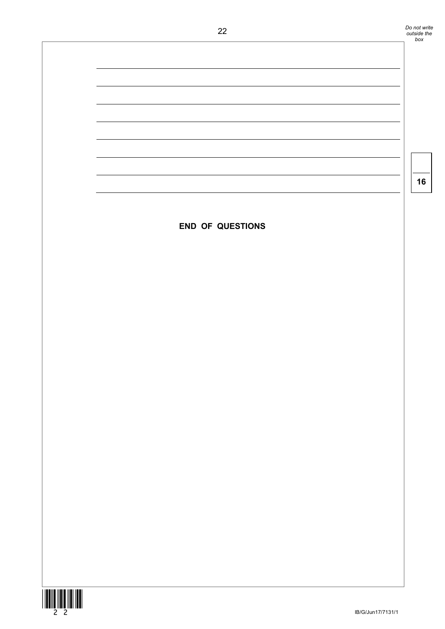![](_page_21_Figure_0.jpeg)

![](_page_21_Picture_1.jpeg)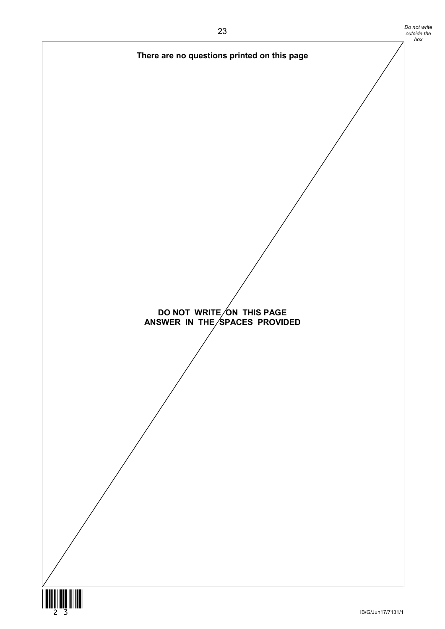![](_page_22_Figure_1.jpeg)